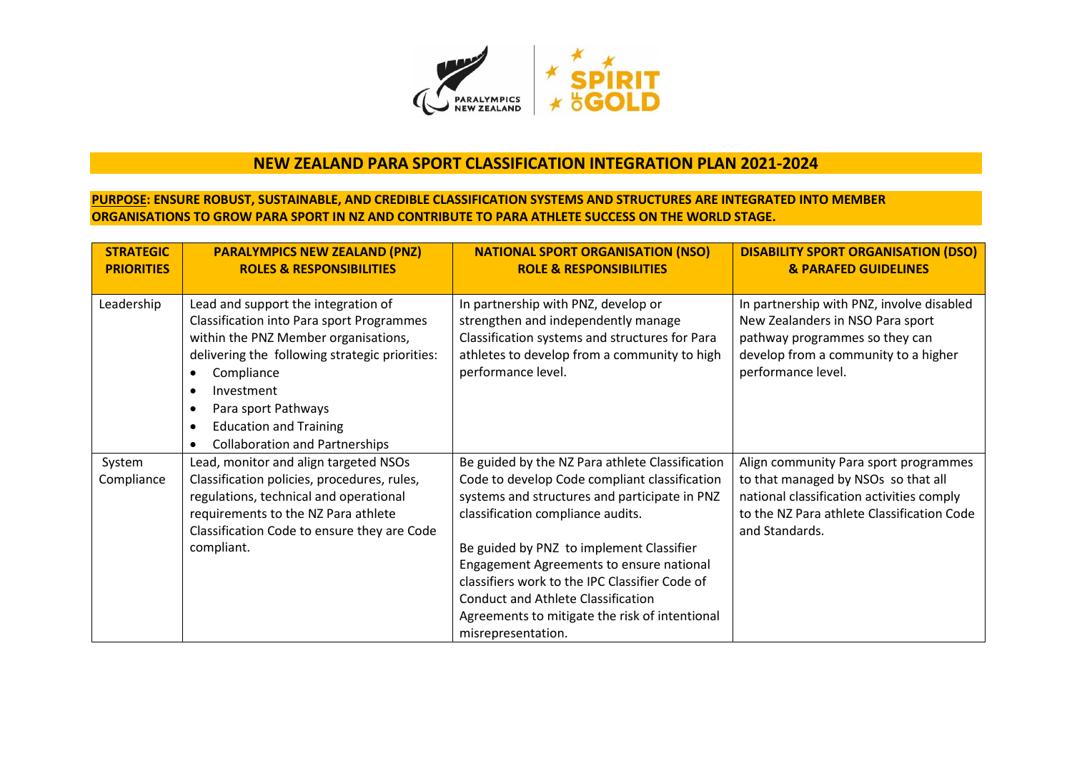

## **NEW ZEALAND PARA SPORT CLASSIFICATION INTEGRATION PLAN 2021-2024**

## **PURPOSE: ENSURE ROBUST, SUSTAINABLE, AND CREDIBLE CLASSIFICATION SYSTEMS AND STRUCTURES ARE INTEGRATED INTO MEMBER ORGANISATIONS TO GROW PARA SPORT IN NZ AND CONTRIBUTE TO PARA ATHLETE SUCCESS ON THE WORLD STAGE.**

| <b>STRATEGIC</b><br><b>PRIORITIES</b> | <b>PARALYMPICS NEW ZEALAND (PNZ)</b><br><b>ROLES &amp; RESPONSIBILITIES</b>                                                                                                                                                                                                                                                                                                     | <b>NATIONAL SPORT ORGANISATION (NSO)</b><br><b>ROLE &amp; RESPONSIBILITIES</b>                                                                                                                                                                                                                                                                                                                                                                        | <b>DISABILITY SPORT ORGANISATION (DSO)</b><br><b>&amp; PARAFED GUIDELINES</b>                                                                                                             |
|---------------------------------------|---------------------------------------------------------------------------------------------------------------------------------------------------------------------------------------------------------------------------------------------------------------------------------------------------------------------------------------------------------------------------------|-------------------------------------------------------------------------------------------------------------------------------------------------------------------------------------------------------------------------------------------------------------------------------------------------------------------------------------------------------------------------------------------------------------------------------------------------------|-------------------------------------------------------------------------------------------------------------------------------------------------------------------------------------------|
| Leadership                            | Lead and support the integration of<br><b>Classification into Para sport Programmes</b><br>within the PNZ Member organisations,<br>delivering the following strategic priorities:<br>Compliance<br>$\bullet$<br>Investment<br>$\bullet$<br>Para sport Pathways<br>$\bullet$<br><b>Education and Training</b><br>$\bullet$<br><b>Collaboration and Partnerships</b><br>$\bullet$ | In partnership with PNZ, develop or<br>strengthen and independently manage<br>Classification systems and structures for Para<br>athletes to develop from a community to high<br>performance level.                                                                                                                                                                                                                                                    | In partnership with PNZ, involve disabled<br>New Zealanders in NSO Para sport<br>pathway programmes so they can<br>develop from a community to a higher<br>performance level.             |
| System<br>Compliance                  | Lead, monitor and align targeted NSOs<br>Classification policies, procedures, rules,<br>regulations, technical and operational<br>requirements to the NZ Para athlete<br>Classification Code to ensure they are Code<br>compliant.                                                                                                                                              | Be guided by the NZ Para athlete Classification<br>Code to develop Code compliant classification<br>systems and structures and participate in PNZ<br>classification compliance audits.<br>Be guided by PNZ to implement Classifier<br>Engagement Agreements to ensure national<br>classifiers work to the IPC Classifier Code of<br><b>Conduct and Athlete Classification</b><br>Agreements to mitigate the risk of intentional<br>misrepresentation. | Align community Para sport programmes<br>to that managed by NSOs so that all<br>national classification activities comply<br>to the NZ Para athlete Classification Code<br>and Standards. |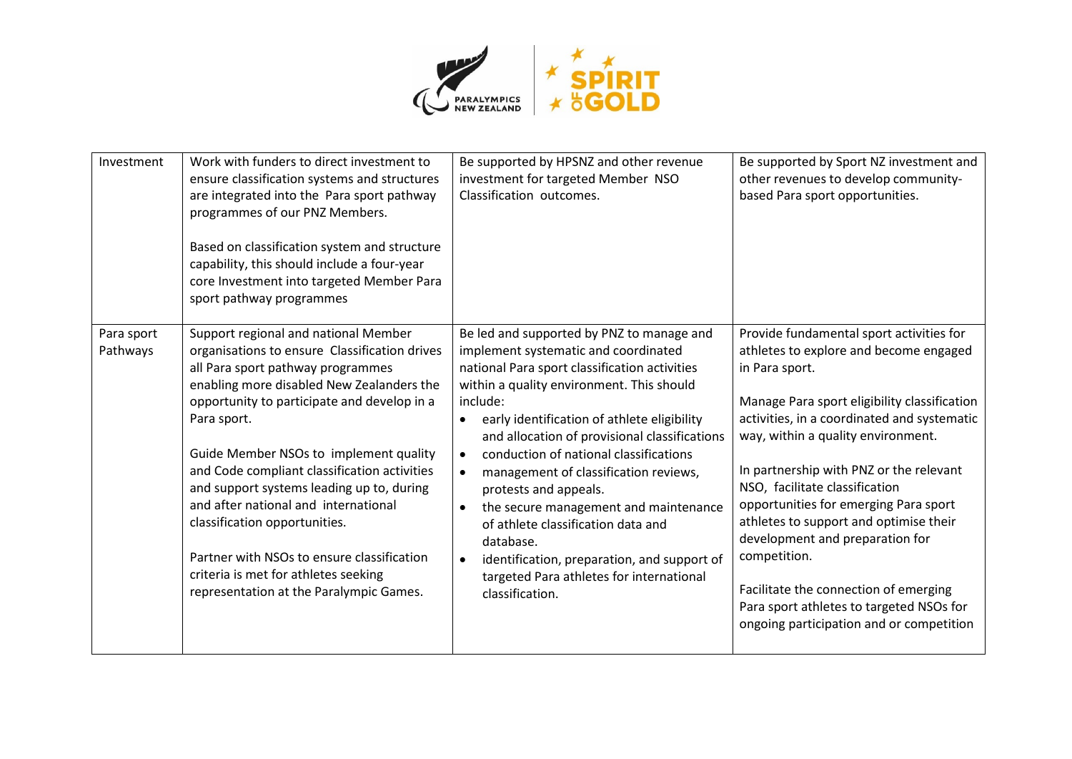

| Investment             | Work with funders to direct investment to<br>ensure classification systems and structures<br>are integrated into the Para sport pathway<br>programmes of our PNZ Members.<br>Based on classification system and structure<br>capability, this should include a four-year<br>core Investment into targeted Member Para<br>sport pathway programmes                                                                                                                                                                                                                                      | Be supported by HPSNZ and other revenue<br>investment for targeted Member NSO<br>Classification outcomes.                                                                                                                                                                                                                                                                                                                                                                                                                                                                                                                      | Be supported by Sport NZ investment and<br>other revenues to develop community-<br>based Para sport opportunities.                                                                                                                                                                                                                                                                                                                                                                                                                                                                            |
|------------------------|----------------------------------------------------------------------------------------------------------------------------------------------------------------------------------------------------------------------------------------------------------------------------------------------------------------------------------------------------------------------------------------------------------------------------------------------------------------------------------------------------------------------------------------------------------------------------------------|--------------------------------------------------------------------------------------------------------------------------------------------------------------------------------------------------------------------------------------------------------------------------------------------------------------------------------------------------------------------------------------------------------------------------------------------------------------------------------------------------------------------------------------------------------------------------------------------------------------------------------|-----------------------------------------------------------------------------------------------------------------------------------------------------------------------------------------------------------------------------------------------------------------------------------------------------------------------------------------------------------------------------------------------------------------------------------------------------------------------------------------------------------------------------------------------------------------------------------------------|
| Para sport<br>Pathways | Support regional and national Member<br>organisations to ensure Classification drives<br>all Para sport pathway programmes<br>enabling more disabled New Zealanders the<br>opportunity to participate and develop in a<br>Para sport.<br>Guide Member NSOs to implement quality<br>and Code compliant classification activities<br>and support systems leading up to, during<br>and after national and international<br>classification opportunities.<br>Partner with NSOs to ensure classification<br>criteria is met for athletes seeking<br>representation at the Paralympic Games. | Be led and supported by PNZ to manage and<br>implement systematic and coordinated<br>national Para sport classification activities<br>within a quality environment. This should<br>include:<br>early identification of athlete eligibility<br>and allocation of provisional classifications<br>conduction of national classifications<br>management of classification reviews,<br>protests and appeals.<br>the secure management and maintenance<br>of athlete classification data and<br>database.<br>identification, preparation, and support of<br>$\bullet$<br>targeted Para athletes for international<br>classification. | Provide fundamental sport activities for<br>athletes to explore and become engaged<br>in Para sport.<br>Manage Para sport eligibility classification<br>activities, in a coordinated and systematic<br>way, within a quality environment.<br>In partnership with PNZ or the relevant<br>NSO, facilitate classification<br>opportunities for emerging Para sport<br>athletes to support and optimise their<br>development and preparation for<br>competition.<br>Facilitate the connection of emerging<br>Para sport athletes to targeted NSOs for<br>ongoing participation and or competition |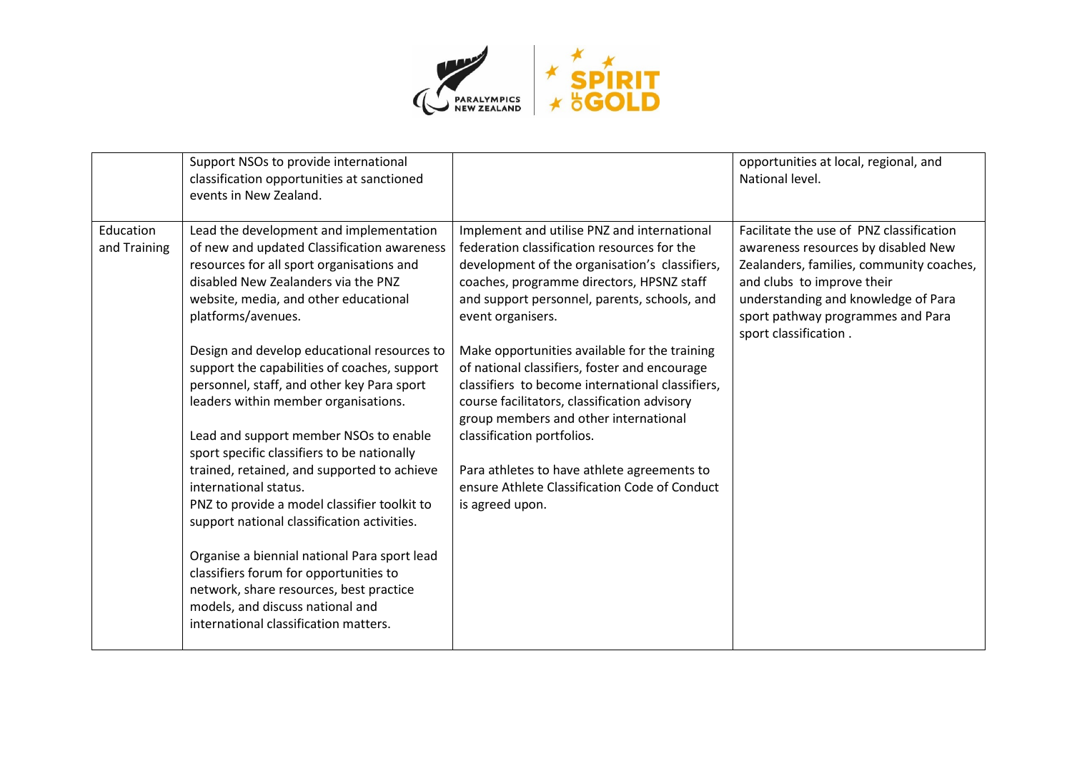

|                           | Support NSOs to provide international<br>classification opportunities at sanctioned<br>events in New Zealand.                                                                                                                                                                                                                                                                                                                                                                                                                                                                                                                                                                                                                                                                                                                                                                                                    |                                                                                                                                                                                                                                                                                                                                                                                                                                                                                                                                                                                                                                                                | opportunities at local, regional, and<br>National level.                                                                                                                                                                                                       |
|---------------------------|------------------------------------------------------------------------------------------------------------------------------------------------------------------------------------------------------------------------------------------------------------------------------------------------------------------------------------------------------------------------------------------------------------------------------------------------------------------------------------------------------------------------------------------------------------------------------------------------------------------------------------------------------------------------------------------------------------------------------------------------------------------------------------------------------------------------------------------------------------------------------------------------------------------|----------------------------------------------------------------------------------------------------------------------------------------------------------------------------------------------------------------------------------------------------------------------------------------------------------------------------------------------------------------------------------------------------------------------------------------------------------------------------------------------------------------------------------------------------------------------------------------------------------------------------------------------------------------|----------------------------------------------------------------------------------------------------------------------------------------------------------------------------------------------------------------------------------------------------------------|
| Education<br>and Training | Lead the development and implementation<br>of new and updated Classification awareness<br>resources for all sport organisations and<br>disabled New Zealanders via the PNZ<br>website, media, and other educational<br>platforms/avenues.<br>Design and develop educational resources to<br>support the capabilities of coaches, support<br>personnel, staff, and other key Para sport<br>leaders within member organisations.<br>Lead and support member NSOs to enable<br>sport specific classifiers to be nationally<br>trained, retained, and supported to achieve<br>international status.<br>PNZ to provide a model classifier toolkit to<br>support national classification activities.<br>Organise a biennial national Para sport lead<br>classifiers forum for opportunities to<br>network, share resources, best practice<br>models, and discuss national and<br>international classification matters. | Implement and utilise PNZ and international<br>federation classification resources for the<br>development of the organisation's classifiers,<br>coaches, programme directors, HPSNZ staff<br>and support personnel, parents, schools, and<br>event organisers.<br>Make opportunities available for the training<br>of national classifiers, foster and encourage<br>classifiers to become international classifiers,<br>course facilitators, classification advisory<br>group members and other international<br>classification portfolios.<br>Para athletes to have athlete agreements to<br>ensure Athlete Classification Code of Conduct<br>is agreed upon. | Facilitate the use of PNZ classification<br>awareness resources by disabled New<br>Zealanders, families, community coaches,<br>and clubs to improve their<br>understanding and knowledge of Para<br>sport pathway programmes and Para<br>sport classification. |